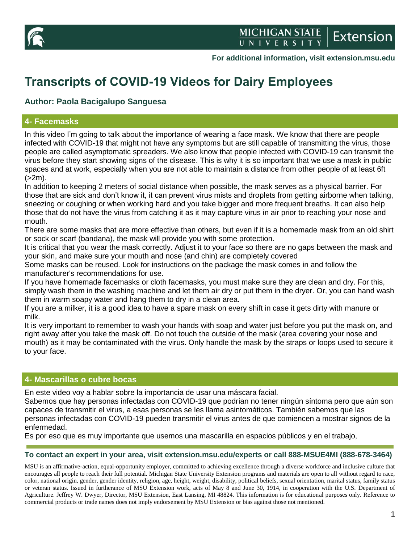

**For additional information, visit extension.msu.edu**

# **Transcripts of COVID-19 Videos for Dairy Employees**

# **Author: Paola Bacigalupo Sanguesa**

# **4- Facemasks**

In this video I'm going to talk about the importance of wearing a face mask. We know that there are people infected with COVID-19 that might not have any symptoms but are still capable of transmitting the virus, those people are called asymptomatic spreaders. We also know that people infected with COVID-19 can transmit the virus before they start showing signs of the disease. This is why it is so important that we use a mask in public spaces and at work, especially when you are not able to maintain a distance from other people of at least 6ft  $(>2m)$ .

In addition to keeping 2 meters of social distance when possible, the mask serves as a physical barrier. For those that are sick and don't know it, it can prevent virus mists and droplets from getting airborne when talking, sneezing or coughing or when working hard and you take bigger and more frequent breaths. It can also help those that do not have the virus from catching it as it may capture virus in air prior to reaching your nose and mouth.

There are some masks that are more effective than others, but even if it is a homemade mask from an old shirt or sock or scarf (bandana), the mask will provide you with some protection.

It is critical that you wear the mask correctly. Adjust it to your face so there are no gaps between the mask and your skin, and make sure your mouth and nose (and chin) are completely covered

Some masks can be reused. Look for instructions on the package the mask comes in and follow the manufacturer's recommendations for use.

If you have homemade facemasks or cloth facemasks, you must make sure they are clean and dry. For this, simply wash them in the washing machine and let them air dry or put them in the dryer. Or, you can hand wash them in warm soapy water and hang them to dry in a clean area.

If you are a milker, it is a good idea to have a spare mask on every shift in case it gets dirty with manure or milk.

It is very important to remember to wash your hands with soap and water just before you put the mask on, and right away after you take the mask off. Do not touch the outside of the mask (area covering your nose and mouth) as it may be contaminated with the virus. Only handle the mask by the straps or loops used to secure it to your face.

## **4- Mascarillas o cubre bocas**

En este video voy a hablar sobre la importancia de usar una máscara facial.

Sabemos que hay personas infectadas con COVID-19 que podrían no tener ningún síntoma pero que aún son capaces de transmitir el virus, a esas personas se les llama asintomáticos. También sabemos que las personas infectadas con COVID-19 pueden transmitir el virus antes de que comiencen a mostrar signos de la enfermedad.

Es por eso que es muy importante que usemos una mascarilla en espacios públicos y en el trabajo,

#### **To contact an expert in your area, visit extension.msu.edu/experts or call 888-MSUE4MI (888-678-3464)**

MSU is an affirmative-action, equal-opportunity employer, committed to achieving excellence through a diverse workforce and inclusive culture that encourages all people to reach their full potential. Michigan State University Extension programs and materials are open to all without regard to race, color, national origin, gender, gender identity, religion, age, height, weight, disability, political beliefs, sexual orientation, marital status, family status or veteran status. Issued in furtherance of MSU Extension work, acts of May 8 and June 30, 1914, in cooperation with the U.S. Department of Agriculture. Jeffrey W. Dwyer, Director, MSU Extension, East Lansing, MI 48824. This information is for educational purposes only. Reference to commercial products or trade names does not imply endorsement by MSU Extension or bias against those not mentioned.